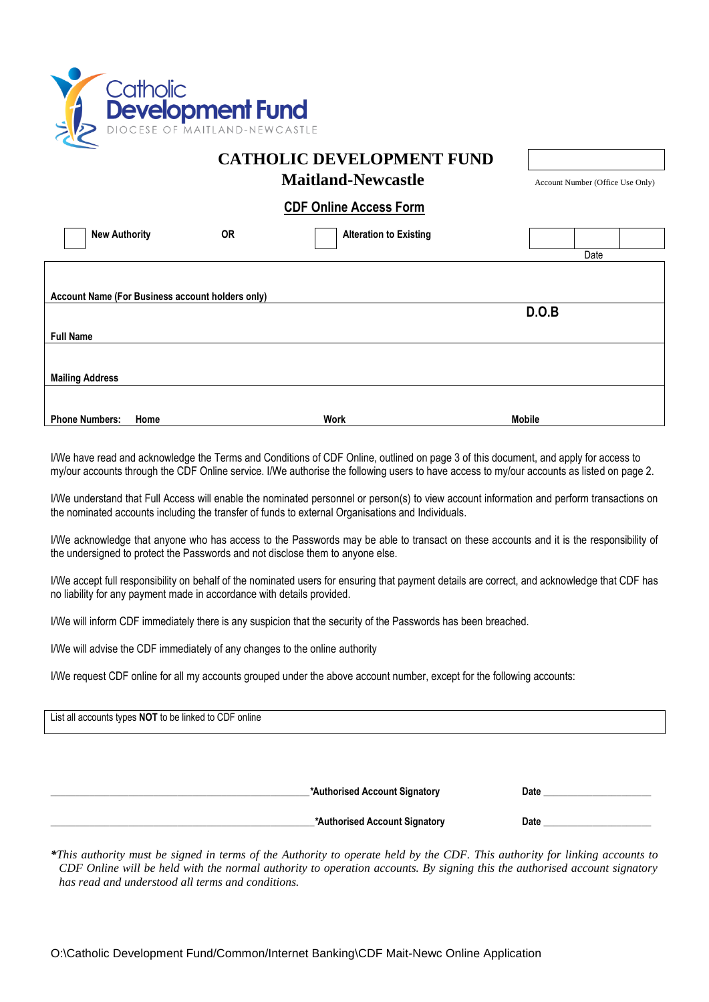

### **CATHOLIC DEVELOPMENT FUND**

**Maitland-Newcastle** Account Number (Office Use Only)

#### **CDF Online Access Form**

| <b>New Authority</b>   |                                                  | <b>OR</b> | <b>Alteration to Existing</b> |               |      |  |
|------------------------|--------------------------------------------------|-----------|-------------------------------|---------------|------|--|
|                        |                                                  |           |                               |               | Date |  |
|                        |                                                  |           |                               |               |      |  |
|                        |                                                  |           |                               |               |      |  |
|                        | Account Name (For Business account holders only) |           |                               |               |      |  |
|                        |                                                  |           |                               | D.O.B         |      |  |
|                        |                                                  |           |                               |               |      |  |
| <b>Full Name</b>       |                                                  |           |                               |               |      |  |
|                        |                                                  |           |                               |               |      |  |
|                        |                                                  |           |                               |               |      |  |
| <b>Mailing Address</b> |                                                  |           |                               |               |      |  |
|                        |                                                  |           |                               |               |      |  |
|                        |                                                  |           |                               |               |      |  |
| <b>Phone Numbers:</b>  | Home                                             |           | <b>Work</b>                   | <b>Mobile</b> |      |  |

I/We have read and acknowledge the Terms and Conditions of CDF Online, outlined on page 3 of this document, and apply for access to my/our accounts through the CDF Online service. I/We authorise the following users to have access to my/our accounts as listed on page 2.

I/We understand that Full Access will enable the nominated personnel or person(s) to view account information and perform transactions on the nominated accounts including the transfer of funds to external Organisations and Individuals.

I/We acknowledge that anyone who has access to the Passwords may be able to transact on these accounts and it is the responsibility of the undersigned to protect the Passwords and not disclose them to anyone else.

I/We accept full responsibility on behalf of the nominated users for ensuring that payment details are correct, and acknowledge that CDF has no liability for any payment made in accordance with details provided.

I/We will inform CDF immediately there is any suspicion that the security of the Passwords has been breached.

I/We will advise the CDF immediately of any changes to the online authority

I/We request CDF online for all my accounts grouped under the above account number, except for the following accounts:

List all accounts types **NOT** to be linked to CDF online **\_\_\_\_\_\_\_\_\_\_\_\_\_\_\_\_\_\_\_\_\_\_\_\_\_\_\_\_\_\_\_\_\_\_\_\_\_\_\_\_\_\_\_\_\_\_\_\_\_\_\_\_\_***\****Authorised Account Signatory Date \_\_\_\_\_\_\_\_\_\_\_\_\_\_\_\_\_\_\_\_\_\_ \_\_\_\_\_\_\_\_\_\_\_\_\_\_\_\_\_\_\_\_\_\_\_\_\_\_\_\_\_\_\_\_\_\_\_\_\_\_\_\_\_\_\_\_\_\_\_\_\_\_\_\_\_\_***\****Authorised Account Signatory Date \_\_\_\_\_\_\_\_\_\_\_\_\_\_\_\_\_\_\_\_\_\_**

*\*This authority must be signed in terms of the Authority to operate held by the CDF. This authority for linking accounts to CDF Online will be held with the normal authority to operation accounts. By signing this the authorised account signatory has read and understood all terms and conditions.*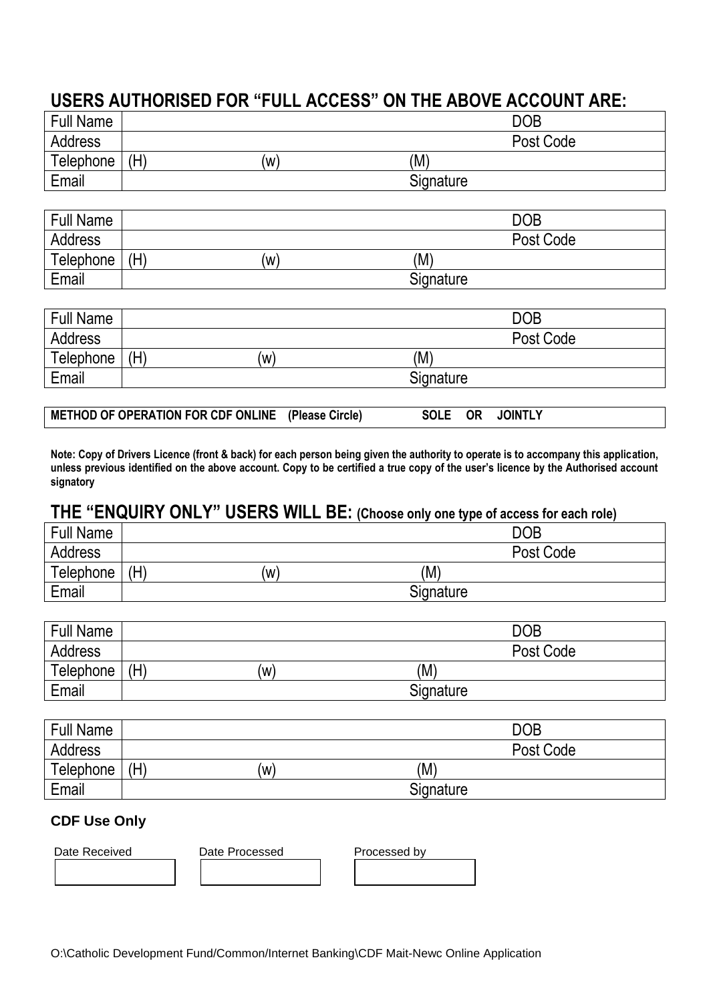# **USERS AUTHORISED FOR "FULL ACCESS" ON THE ABOVE ACCOUNT ARE:**

| <b>Full Name</b> |            | <b>DOB</b> |
|------------------|------------|------------|
| <b>Address</b>   |            | Post Code  |
| Telephone        | (H)<br>(W) | (M)        |
| Email            |            | Signature  |

| <b>Full Name</b> |     |     |           | <b>DOB</b> |  |
|------------------|-----|-----|-----------|------------|--|
| <b>Address</b>   |     |     |           | Post Code  |  |
| Telephone        | (H) | (W) | (M)       |            |  |
| Email            |     |     | Signature |            |  |

| <b>Full Name</b> |     |     |           | <b>DOB</b> |  |
|------------------|-----|-----|-----------|------------|--|
| Address          |     |     |           | Post Code  |  |
| <b>Telephone</b> | (H) | (W) | (M)       |            |  |
| Email            |     |     | Signature |            |  |

| METHOD OF OPERATION FOR CDF ONLINE (Please Circle) |  |  | SOLE OR JOINTLY |  |
|----------------------------------------------------|--|--|-----------------|--|
|----------------------------------------------------|--|--|-----------------|--|

**Note: Copy of Drivers Licence (front & back) for each person being given the authority to operate is to accompany this application, unless previous identified on the above account. Copy to be certified a true copy of the user's licence by the Authorised account signatory**

# **THE "ENQUIRY ONLY" USERS WILL BE: (Choose only one type of access for each role)**

| <b>Full Name</b> |            | <b>DOB</b> |
|------------------|------------|------------|
| Address          |            | Post Code  |
| Telephone        | (H)<br>(W) | (M)        |
| Email            |            | Signature  |

| <b>Full Name</b> |     |    |           | <b>DOB</b> |
|------------------|-----|----|-----------|------------|
| Address          |     |    |           | Post Code  |
| Telephone        | (H) | (w | (M)       |            |
| Email            |     |    | Signature |            |

| <b>Full Name</b> |     |     |           | <b>DOB</b> |
|------------------|-----|-----|-----------|------------|
| <b>Address</b>   |     |     |           | Post Code  |
| Telephone        | (H) | (W) | (M)       |            |
| Email            |     |     | Signature |            |

### **CDF Use Only**

| Date Received | Date Processed | Processed by |  |
|---------------|----------------|--------------|--|
|               |                |              |  |